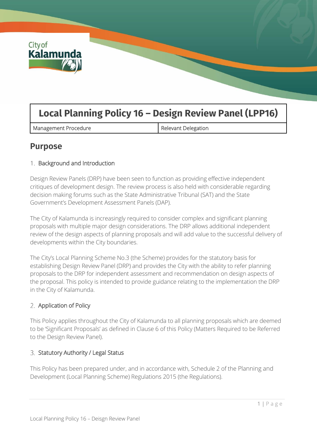

# **Local Planning Policy 16 – Design Review Panel (LPP16)**

Management Procedure **Relevant Delegation** 

# **Purpose**

# 1. Background and Introduction

Design Review Panels (DRP) have been seen to function as providing effective independent critiques of development design. The review process is also held with considerable regarding decision making forums such as the State Administrative Tribunal (SAT) and the State Government's Development Assessment Panels (DAP).

The City of Kalamunda is increasingly required to consider complex and significant planning proposals with multiple major design considerations. The DRP allows additional independent review of the design aspects of planning proposals and will add value to the successful delivery of developments within the City boundaries.

The City's Local Planning Scheme No.3 (the Scheme) provides for the statutory basis for establishing Design Review Panel (DRP) and provides the City with the ability to refer planning proposals to the DRP for independent assessment and recommendation on design aspects of the proposal. This policy is intended to provide guidance relating to the implementation the DRP in the City of Kalamunda.

# 2. Application of Policy

This Policy applies throughout the City of Kalamunda to all planning proposals which are deemed to be 'Significant Proposals' as defined in Clause 6 of this Policy (Matters Required to be Referred to the Design Review Panel).

# Statutory Authority / Legal Status

This Policy has been prepared under, and in accordance with, Schedule 2 of the Planning and Development (Local Planning Scheme) Regulations 2015 (the Regulations).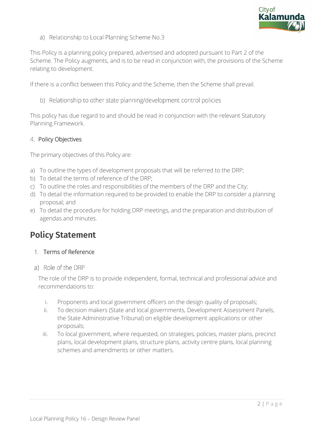

a) Relationship to Local Planning Scheme No.3

This Policy is a planning policy prepared, advertised and adopted pursuant to Part 2 of the Scheme. The Policy augments, and is to be read in conjunction with, the provisions of the Scheme relating to development.

If there is a conflict between this Policy and the Scheme, then the Scheme shall prevail.

b) Relationship to other state planning/development control policies

This policy has due regard to and should be read in conjunction with the relevant Statutory Planning Framework.

#### 4. Policy Objectives

The primary objectives of this Policy are:

- a) To outline the types of development proposals that will be referred to the DRP;
- b) To detail the terms of reference of the DRP;
- c) To outline the roles and responsibilities of the members of the DRP and the City;
- d) To detail the information required to be provided to enable the DRP to consider a planning proposal; and
- e) To detail the procedure for holding DRP meetings, and the preparation and distribution of agendas and minutes.

# **Policy Statement**

#### 1. Terms of Reference

a) Role of the DRP

The role of the DRP is to provide independent, formal, technical and professional advice and recommendations to:

- i. Proponents and local government officers on the design quality of proposals;
- ii. To decision makers (State and local governments, Development Assessment Panels, the State Administrative Tribunal) on eligible development applications or other proposals;
- iii. To local government, where requested, on strategies, policies, master plans, precinct plans, local development plans, structure plans, activity centre plans, local planning schemes and amendments or other matters.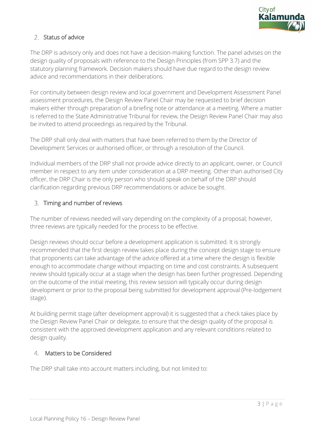

# 2. Status of advice

The DRP is advisory only and does not have a decision-making function. The panel advises on the design quality of proposals with reference to the Design Principles (from SPP 3.7) and the statutory planning framework. Decision makers should have due regard to the design review advice and recommendations in their deliberations.

For continuity between design review and local government and Development Assessment Panel assessment procedures, the Design Review Panel Chair may be requested to brief decision makers either through preparation of a briefing note or attendance at a meeting. Where a matter is referred to the State Administrative Tribunal for review, the Design Review Panel Chair may also be invited to attend proceedings as required by the Tribunal.

The DRP shall only deal with matters that have been referred to them by the Director of Development Services or authorised officer, or through a resolution of the Council.

Individual members of the DRP shall not provide advice directly to an applicant, owner, or Council member in respect to any item under consideration at a DRP meeting. Other than authorised City officer, the DRP Chair is the only person who should speak on behalf of the DRP should clarification regarding previous DRP recommendations or advice be sought.

#### 3. Timing and number of reviews

The number of reviews needed will vary depending on the complexity of a proposal; however, three reviews are typically needed for the process to be effective.

Design reviews should occur before a development application is submitted. It is strongly recommended that the first design review takes place during the concept design stage to ensure that proponents can take advantage of the advice offered at a time where the design is flexible enough to accommodate change without impacting on time and cost constraints. A subsequent review should typically occur at a stage when the design has been further progressed. Depending on the outcome of the initial meeting, this review session will typically occur during design development or prior to the proposal being submitted for development approval (Pre-lodgement stage).

At building permit stage (after development approval) it is suggested that a check takes place by the Design Review Panel Chair or delegate, to ensure that the design quality of the proposal is consistent with the approved development application and any relevant conditions related to design quality.

# Matters to be Considered

The DRP shall take into account matters including, but not limited to: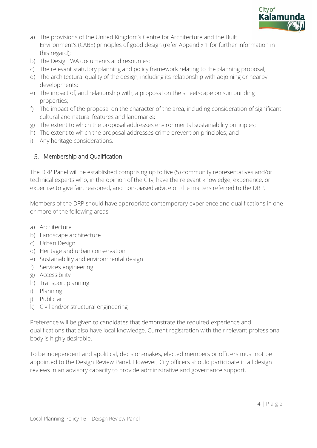

- a) The provisions of the United Kingdom's Centre for Architecture and the Built Environment's (CABE) principles of good design (refer Appendix 1 for further information in this regard);
- b) The Design WA documents and resources;
- c) The relevant statutory planning and policy framework relating to the planning proposal;
- d) The architectural quality of the design, including its relationship with adjoining or nearby developments;
- e) The impact of, and relationship with, a proposal on the streetscape on surrounding properties;
- f) The impact of the proposal on the character of the area, including consideration of significant cultural and natural features and landmarks;
- g) The extent to which the proposal addresses environmental sustainability principles;
- h) The extent to which the proposal addresses crime prevention principles; and
- i) Any heritage considerations.

# 5. Membership and Qualification

The DRP Panel will be established comprising up to five (5) community representatives and/or technical experts who, in the opinion of the City, have the relevant knowledge, experience, or expertise to give fair, reasoned, and non-biased advice on the matters referred to the DRP.

Members of the DRP should have appropriate contemporary experience and qualifications in one or more of the following areas:

- a) Architecture
- b) Landscape architecture
- c) Urban Design
- d) Heritage and urban conservation
- e) Sustainability and environmental design
- f) Services engineering
- g) Accessibility
- h) Transport planning
- i) Planning
- j) Public art
- k) Civil and/or structural engineering

Preference will be given to candidates that demonstrate the required experience and qualifications that also have local knowledge. Current registration with their relevant professional body is highly desirable.

To be independent and apolitical, decision-makes, elected members or officers must not be appointed to the Design Review Panel. However, City officers should participate in all design reviews in an advisory capacity to provide administrative and governance support.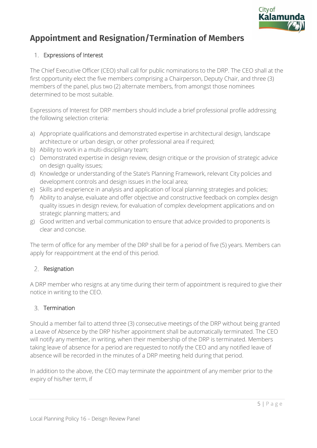

# **Appointment and Resignation/Termination of Members**

# 1. Expressions of Interest

The Chief Executive Officer (CEO) shall call for public nominations to the DRP. The CEO shall at the first opportunity elect the five members comprising a Chairperson, Deputy Chair, and three (3) members of the panel, plus two (2) alternate members, from amongst those nominees determined to be most suitable.

Expressions of Interest for DRP members should include a brief professional profile addressing the following selection criteria:

- a) Appropriate qualifications and demonstrated expertise in architectural design, landscape architecture or urban design, or other professional area if required;
- b) Ability to work in a multi-disciplinary team;
- c) Demonstrated expertise in design review, design critique or the provision of strategic advice on design quality issues;
- d) Knowledge or understanding of the State's Planning Framework, relevant City policies and development controls and design issues in the local area;
- e) Skills and experience in analysis and application of local planning strategies and policies;
- f) Ability to analyse, evaluate and offer objective and constructive feedback on complex design quality issues in design review, for evaluation of complex development applications and on strategic planning matters; and
- g) Good written and verbal communication to ensure that advice provided to proponents is clear and concise.

The term of office for any member of the DRP shall be for a period of five (5) years. Members can apply for reappointment at the end of this period.

# 2. Resignation

A DRP member who resigns at any time during their term of appointment is required to give their notice in writing to the CEO.

# 3. Termination

Should a member fail to attend three (3) consecutive meetings of the DRP without being granted a Leave of Absence by the DRP his/her appointment shall be automatically terminated. The CEO will notify any member, in writing, when their membership of the DRP is terminated. Members taking leave of absence for a period are requested to notify the CEO and any notified leave of absence will be recorded in the minutes of a DRP meeting held during that period.

In addition to the above, the CEO may terminate the appointment of any member prior to the expiry of his/her term, if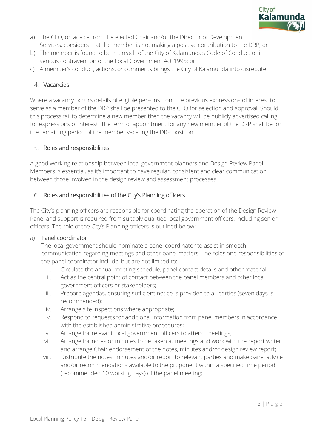

- a) The CEO, on advice from the elected Chair and/or the Director of Development Services, considers that the member is not making a positive contribution to the DRP; or
- b) The member is found to be in breach of the City of Kalamunda's Code of Conduct or in serious contravention of the Local Government Act 1995; or
- c) A member's conduct, actions, or comments brings the City of Kalamunda into disrepute.

### 4. Vacancies

Where a vacancy occurs details of eligible persons from the previous expressions of interest to serve as a member of the DRP shall be presented to the CEO for selection and approval. Should this process fail to determine a new member then the vacancy will be publicly advertised calling for expressions of interest. The term of appointment for any new member of the DRP shall be for the remaining period of the member vacating the DRP position.

#### 5. Roles and responsibilities

A good working relationship between local government planners and Design Review Panel Members is essential, as it's important to have regular, consistent and clear communication between those involved in the design review and assessment processes.

#### 6. Roles and responsibilities of the City's Planning officers

The City's planning officers are responsible for coordinating the operation of the Design Review Panel and support is required from suitably qualitied local government officers, including senior officers. The role of the City's Planning officers is outlined below:

#### a) Panel coordinator

The local government should nominate a panel coordinator to assist in smooth communication regarding meetings and other panel matters. The roles and responsibilities of the panel coordinator include, but are not limited to:

- i. Circulate the annual meeting schedule, panel contact details and other material;
- ii. Act as the central point of contact between the panel members and other local government officers or stakeholders;
- iii. Prepare agendas, ensuring sufficient notice is provided to all parties (seven days is recommended);
- iv. Arrange site inspections where appropriate;
- v. Respond to requests for additional information from panel members in accordance with the established administrative procedures;
- vi. Arrange for relevant local government officers to attend meetings;
- vii. Arrange for notes or minutes to be taken at meetings and work with the report writer and arrange Chair endorsement of the notes, minutes and/or design review report;
- viii. Distribute the notes, minutes and/or report to relevant parties and make panel advice and/or recommendations available to the proponent within a specified time period (recommended 10 working days) of the panel meeting;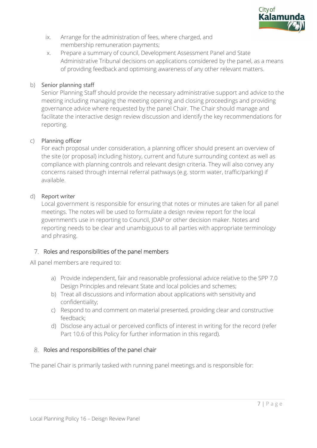

- ix. Arrange for the administration of fees, where charged, and membership remuneration payments;
- x. Prepare a summary of council, Development Assessment Panel and State Administrative Tribunal decisions on applications considered by the panel, as a means of providing feedback and optimising awareness of any other relevant matters.

### b) Senior planning staff

Senior Planning Staff should provide the necessary administrative support and advice to the meeting including managing the meeting opening and closing proceedings and providing governance advice where requested by the panel Chair. The Chair should manage and facilitate the interactive design review discussion and identify the key recommendations for reporting.

#### c) Planning officer

For each proposal under consideration, a planning officer should present an overview of the site (or proposal) including history, current and future surrounding context as well as compliance with planning controls and relevant design criteria. They will also convey any concerns raised through internal referral pathways (e.g. storm water, traffic/parking) if available.

#### d) Report writer

Local government is responsible for ensuring that notes or minutes are taken for all panel meetings. The notes will be used to formulate a design review report for the local government's use in reporting to Council, JDAP or other decision maker. Notes and reporting needs to be clear and unambiguous to all parties with appropriate terminology and phrasing.

# 7. Roles and responsibilities of the panel members

All panel members are required to:

- a) Provide independent, fair and reasonable professional advice relative to the SPP 7.0 Design Principles and relevant State and local policies and schemes;
- b) Treat all discussions and information about applications with sensitivity and confidentiality;
- c) Respond to and comment on material presented, providing clear and constructive feedback;
- d) Disclose any actual or perceived conflicts of interest in writing for the record (refer Part 10.6 of this Policy for further information in this regard).

#### 8. Roles and responsibilities of the panel chair

The panel Chair is primarily tasked with running panel meetings and is responsible for: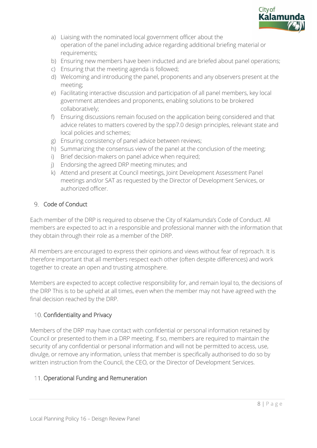

- a) Liaising with the nominated local government officer about the operation of the panel including advice regarding additional briefing material or requirements;
- b) Ensuring new members have been inducted and are briefed about panel operations;
- c) Ensuring that the meeting agenda is followed;
- d) Welcoming and introducing the panel, proponents and any observers present at the meeting;
- e) Facilitating interactive discussion and participation of all panel members, key local government attendees and proponents, enabling solutions to be brokered collaboratively;
- f) Ensuring discussions remain focused on the application being considered and that advice relates to matters covered by the spp7.0 design principles, relevant state and local policies and schemes;
- g) Ensuring consistency of panel advice between reviews;
- h) Summarizing the consensus view of the panel at the conclusion of the meeting;
- i) Brief decision-makers on panel advice when required;
- j) Endorsing the agreed DRP meeting minutes; and
- k) Attend and present at Council meetings, Joint Development Assessment Panel meetings and/or SAT as requested by the Director of Development Services, or authorized officer.

#### 9. Code of Conduct

Each member of the DRP is required to observe the City of Kalamunda's Code of Conduct. All members are expected to act in a responsible and professional manner with the information that they obtain through their role as a member of the DRP.

All members are encouraged to express their opinions and views without fear of reproach. It is therefore important that all members respect each other (often despite differences) and work together to create an open and trusting atmosphere.

Members are expected to accept collective responsibility for, and remain loyal to, the decisions of the DRP This is to be upheld at all times, even when the member may not have agreed with the final decision reached by the DRP.

# 10. Confidentiality and Privacy

Members of the DRP may have contact with confidential or personal information retained by Council or presented to them in a DRP meeting. If so, members are required to maintain the security of any confidential or personal information and will not be permitted to access, use, divulge, or remove any information, unless that member is specifically authorised to do so by written instruction from the Council, the CEO, or the Director of Development Services.

# 11. Operational Funding and Remuneration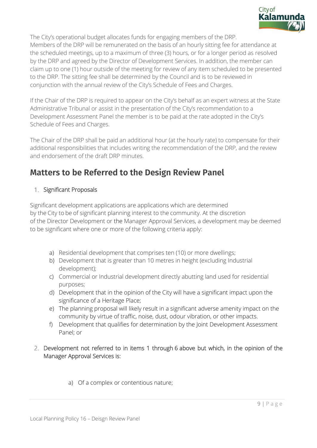

The City's operational budget allocates funds for engaging members of the DRP. Members of the DRP will be remunerated on the basis of an hourly sitting fee for attendance at the scheduled meetings, up to a maximum of three (3) hours, or for a longer period as resolved by the DRP and agreed by the Director of Development Services. In addition, the member can claim up to one (1) hour outside of the meeting for review of any item scheduled to be presented to the DRP. The sitting fee shall be determined by the Council and is to be reviewed in conjunction with the annual review of the City's Schedule of Fees and Charges.

If the Chair of the DRP is required to appear on the City's behalf as an expert witness at the State Administrative Tribunal or assist in the presentation of the City's recommendation to a Development Assessment Panel the member is to be paid at the rate adopted in the City's Schedule of Fees and Charges.

The Chair of the DRP shall be paid an additional hour (at the hourly rate) to compensate for their additional responsibilities that includes writing the recommendation of the DRP, and the review and endorsement of the draft DRP minutes.

# **Matters to be Referred to the Design Review Panel**

# 1. Significant Proposals

Significant development applications are applications which are determined by the City to be of significant planning interest to the community. At the discretion of the Director Development or the Manager Approval Services, a development may be deemed to be significant where one or more of the following criteria apply:

- a) Residential development that comprises ten (10) or more dwellings;
- b) Development that is greater than 10 metres in height (excluding Industrial development);
- c) Commercial or Industrial development directly abutting land used for residential purposes;
- d) Development that in the opinion of the City will have a significant impact upon the significance of a Heritage Place;
- e) The planning proposal will likely result in a significant adverse amenity impact on the community by virtue of traffic, noise, dust, odour vibration, or other impacts.
- f) Development that qualifies for determination by the Joint Development Assessment Panel; or
- 2. Development not referred to in items 1 through 6 above but which, in the opinion of the Manager Approval Services is:
	- a) Of a complex or contentious nature;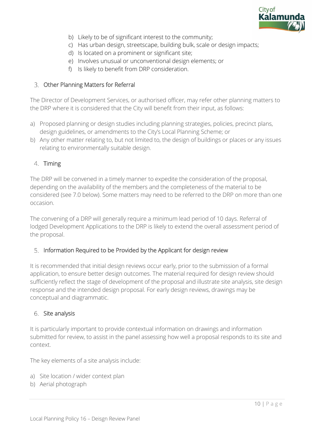

- b) Likely to be of significant interest to the community;
- c) Has urban design, streetscape, building bulk, scale or design impacts;
- d) Is located on a prominent or significant site;
- e) Involves unusual or unconventional design elements; or
- f) Is likely to benefit from DRP consideration.

#### Other Planning Matters for Referral

The Director of Development Services, or authorised officer, may refer other planning matters to the DRP where it is considered that the City will benefit from their input, as follows:

- a) Proposed planning or design studies including planning strategies, policies, precinct plans, design guidelines, or amendments to the City's Local Planning Scheme; or
- b) Any other matter relating to, but not limited to, the design of buildings or places or any issues relating to environmentally suitable design.

#### 4. Timing

The DRP will be convened in a timely manner to expedite the consideration of the proposal, depending on the availability of the members and the completeness of the material to be considered (see 7.0 below). Some matters may need to be referred to the DRP on more than one occasion.

The convening of a DRP will generally require a minimum lead period of 10 days. Referral of lodged Development Applications to the DRP is likely to extend the overall assessment period of the proposal.

#### 5. Information Required to be Provided by the Applicant for design review

It is recommended that initial design reviews occur early, prior to the submission of a formal application, to ensure better design outcomes. The material required for design review should sufficiently reflect the stage of development of the proposal and illustrate site analysis, site design response and the intended design proposal. For early design reviews, drawings may be conceptual and diagrammatic.

#### 6. Site analysis

It is particularly important to provide contextual information on drawings and information submitted for review, to assist in the panel assessing how well a proposal responds to its site and context.

The key elements of a site analysis include:

- a) Site location / wider context plan
- b) Aerial photograph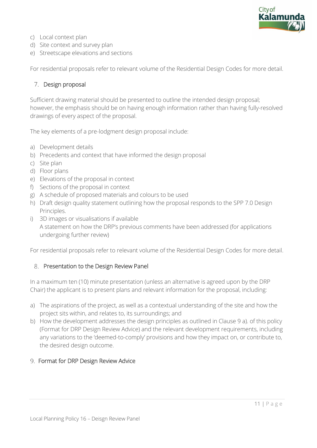

- c) Local context plan
- d) Site context and survey plan
- e) Streetscape elevations and sections

For residential proposals refer to relevant volume of the Residential Design Codes for more detail.

#### 7. Design proposal

Sufficient drawing material should be presented to outline the intended design proposal; however, the emphasis should be on having enough information rather than having fully-resolved drawings of every aspect of the proposal.

The key elements of a pre-lodgment design proposal include:

- a) Development details
- b) Precedents and context that have informed the design proposal
- c) Site plan
- d) Floor plans
- e) Elevations of the proposal in context
- f) Sections of the proposal in context
- g) A schedule of proposed materials and colours to be used
- h) Draft design quality statement outlining how the proposal responds to the SPP 7.0 Design Principles.
- i) 3D images or visualisations if available A statement on how the DRP's previous comments have been addressed (for applications undergoing further review)

For residential proposals refer to relevant volume of the Residential Design Codes for more detail.

#### 8. Presentation to the Design Review Panel

In a maximum ten (10) minute presentation (unless an alternative is agreed upon by the DRP Chair) the applicant is to present plans and relevant information for the proposal, including:

- a) The aspirations of the project, as well as a contextual understanding of the site and how the project sits within, and relates to, its surroundings; and
- b) How the development addresses the design principles as outlined in Clause 9 a). of this policy (Format for DRP Design Review Advice) and the relevant development requirements, including any variations to the 'deemed-to-comply' provisions and how they impact on, or contribute to, the desired design outcome.

#### 9. Format for DRP Design Review Advice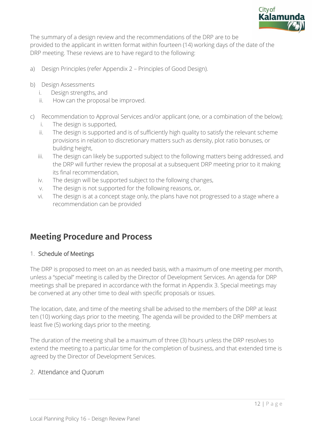

The summary of a design review and the recommendations of the DRP are to be provided to the applicant in written format within fourteen (14) working days of the date of the DRP meeting. These reviews are to have regard to the following:

- a) Design Principles (refer Appendix 2 Principles of Good Design).
- b) Design Assessments
	- i. Design strengths, and
	- ii. How can the proposal be improved.
- c) Recommendation to Approval Services and/or applicant (one, or a combination of the below);
	- i. The design is supported,
	- ii. The design is supported and is of sufficiently high quality to satisfy the relevant scheme provisions in relation to discretionary matters such as density, plot ratio bonuses, or building height,
	- iii. The design can likely be supported subject to the following matters being addressed, and the DRP will further review the proposal at a subsequent DRP meeting prior to it making its final recommendation,
	- iv. The design will be supported subject to the following changes,
	- v. The design is not supported for the following reasons, or,
	- vi. The design is at a concept stage only, the plans have not progressed to a stage where a recommendation can be provided

# **Meeting Procedure and Process**

#### 1. Schedule of Meetings

The DRP is proposed to meet on an as needed basis, with a maximum of one meeting per month, unless a "special" meeting is called by the Director of Development Services. An agenda for DRP meetings shall be prepared in accordance with the format in Appendix 3. Special meetings may be convened at any other time to deal with specific proposals or issues.

The location, date, and time of the meeting shall be advised to the members of the DRP at least ten (10) working days prior to the meeting. The agenda will be provided to the DRP members at least five (5) working days prior to the meeting.

The duration of the meeting shall be a maximum of three (3) hours unless the DRP resolves to extend the meeting to a particular time for the completion of business, and that extended time is agreed by the Director of Development Services.

# 2. Attendance and Quorum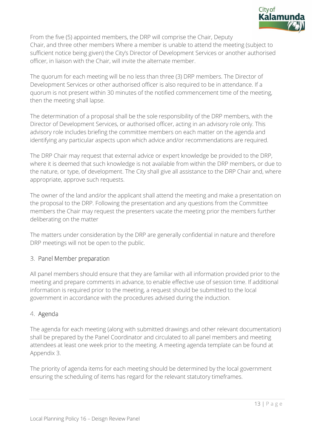

From the five (5) appointed members, the DRP will comprise the Chair, Deputy Chair, and three other members Where a member is unable to attend the meeting (subject to sufficient notice being given) the City's Director of Development Services or another authorised officer, in liaison with the Chair, will invite the alternate member.

The quorum for each meeting will be no less than three (3) DRP members. The Director of Development Services or other authorised officer is also required to be in attendance. If a quorum is not present within 30 minutes of the notified commencement time of the meeting, then the meeting shall lapse.

The determination of a proposal shall be the sole responsibility of the DRP members, with the Director of Development Services, or authorised officer, acting in an advisory role only. This advisory role includes briefing the committee members on each matter on the agenda and identifying any particular aspects upon which advice and/or recommendations are required.

The DRP Chair may request that external advice or expert knowledge be provided to the DRP, where it is deemed that such knowledge is not available from within the DRP members, or due to the nature, or type, of development. The City shall give all assistance to the DRP Chair and, where appropriate, approve such requests.

The owner of the land and/or the applicant shall attend the meeting and make a presentation on the proposal to the DRP. Following the presentation and any questions from the Committee members the Chair may request the presenters vacate the meeting prior the members further deliberating on the matter

The matters under consideration by the DRP are generally confidential in nature and therefore DRP meetings will not be open to the public.

# 3. Panel Member preparation

All panel members should ensure that they are familiar with all information provided prior to the meeting and prepare comments in advance, to enable effective use of session time. If additional information is required prior to the meeting, a request should be submitted to the local government in accordance with the procedures advised during the induction.

# 4. Agenda

The agenda for each meeting (along with submitted drawings and other relevant documentation) shall be prepared by the Panel Coordinator and circulated to all panel members and meeting attendees at least one week prior to the meeting. A meeting agenda template can be found at Appendix 3.

The priority of agenda items for each meeting should be determined by the local government ensuring the scheduling of items has regard for the relevant statutory timeframes.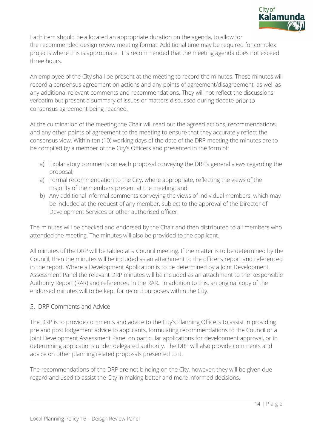

Each item should be allocated an appropriate duration on the agenda, to allow for the recommended design review meeting format. Additional time may be required for complex projects where this is appropriate. It is recommended that the meeting agenda does not exceed three hours.

An employee of the City shall be present at the meeting to record the minutes. These minutes will record a consensus agreement on actions and any points of agreement/disagreement, as well as any additional relevant comments and recommendations. They will not reflect the discussions verbatim but present a summary of issues or matters discussed during debate prior to consensus agreement being reached.

At the culmination of the meeting the Chair will read out the agreed actions, recommendations, and any other points of agreement to the meeting to ensure that they accurately reflect the consensus view. Within ten (10) working days of the date of the DRP meeting the minutes are to be compiled by a member of the City's Officers and presented in the form of:

- a) Explanatory comments on each proposal conveying the DRP's general views regarding the proposal;
- a) Formal recommendation to the City, where appropriate, reflecting the views of the majority of the members present at the meeting; and
- b) Any additional informal comments conveying the views of individual members, which may be included at the request of any member, subject to the approval of the Director of Development Services or other authorised officer.

The minutes will be checked and endorsed by the Chair and then distributed to all members who attended the meeting. The minutes will also be provided to the applicant.

All minutes of the DRP will be tabled at a Council meeting. If the matter is to be determined by the Council, then the minutes will be included as an attachment to the officer's report and referenced in the report. Where a Development Application is to be determined by a Joint Development Assessment Panel the relevant DRP minutes will be included as an attachment to the Responsible Authority Report (RAR) and referenced in the RAR. In addition to this, an original copy of the endorsed minutes will to be kept for record purposes within the City.

# 5. DRP Comments and Advice

The DRP is to provide comments and advice to the City's Planning Officers to assist in providing pre and post lodgement advice to applicants, formulating recommendations to the Council or a Joint Development Assessment Panel on particular applications for development approval, or in determining applications under delegated authority. The DRP will also provide comments and advice on other planning related proposals presented to it.

The recommendations of the DRP are not binding on the City, however, they will be given due regard and used to assist the City in making better and more informed decisions.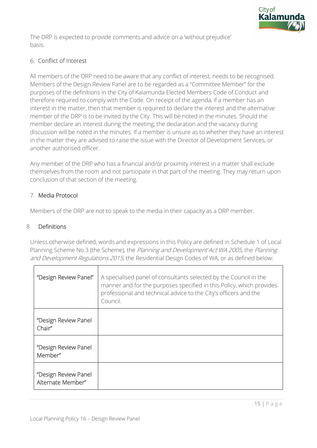

The DRP is expected to provide comments and advice on a 'without prejudice' basis.

### 6. Conflict of Interest

All members of the DRP need to be aware that any conflict of interest, needs to be recognised. Members of the Design Review Panel are to be regarded as a "Committee Member" for the purposes of the definitions in the City of Kalamunda Elected Members Code of Conduct and therefore required to comply with the Code. On receipt of the agenda, if a member has an interest in the matter, then that member is required to declare the interest and the alternative member of the DRP is to be invited by the City. This will be noted in the minutes. Should the member declare an interest during the meeting, the declaration and the vacancy during discussion will be noted in the minutes. If a member is unsure as to whether they have an interest in the matter they are advised to raise the issue with the Director of Development Services, or another authorised officer.

Any member of the DRP who has a financial and/or proximity interest in a matter shall exclude themselves from the room and not participate in that part of the meeting. They may return upon conclusion of that section of the meeting.

#### 7. Media Protocol

Members of the DRP are not to speak to the media in their capacity as a DRP member.

#### 8. Definitions

Unless otherwise defined, words and expressions in this Policy are defined in Schedule 1 of Local Planning Scheme No.3 (the Scheme), the Planning and Development Act WA 2005, the Planning and Development Regulations 2015, the Residential Design Codes of WA, or as defined below:

| "Design Review Panel"                     | A specialised panel of consultants selected by the Council in the<br>manner and for the purposes specified in this Policy, which provides<br>professional and technical advice to the City's officers and the<br>Council. |
|-------------------------------------------|---------------------------------------------------------------------------------------------------------------------------------------------------------------------------------------------------------------------------|
| "Design Review Panel<br>Chair"            |                                                                                                                                                                                                                           |
| "Design Review Panel<br>Member"           |                                                                                                                                                                                                                           |
| "Design Review Panel<br>Alternate Member" |                                                                                                                                                                                                                           |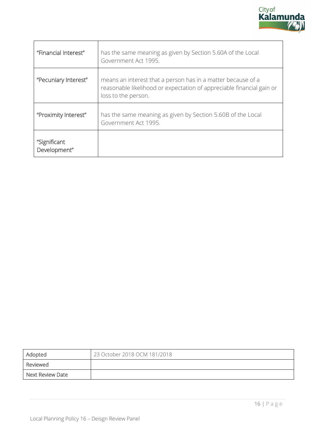

| "Financial Interest"         | has the same meaning as given by Section 5.60A of the Local<br>Government Act 1995.                                                                          |
|------------------------------|--------------------------------------------------------------------------------------------------------------------------------------------------------------|
| "Pecuniary Interest"         | means an interest that a person has in a matter because of a<br>reasonable likelihood or expectation of appreciable financial gain or<br>loss to the person. |
| "Proximity Interest"         | has the same meaning as given by Section 5.60B of the Local<br>Government Act 1995.                                                                          |
| "Significant<br>Development" |                                                                                                                                                              |

| Adopted          | 23 October 2018 OCM 181/2018 |
|------------------|------------------------------|
| Reviewed         |                              |
| Next Review Date |                              |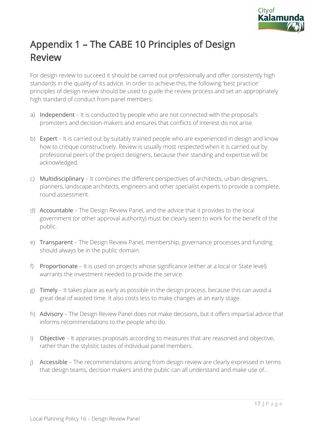

# Appendix 1 – The CABE 10 Principles of Design Review

For design review to succeed it should be carried out professionally and offer consistently high standards in the quality of its advice. In order to achieve this, the following 'best practice' principles of design review should be used to guide the review process and set an appropriately high standard of conduct from panel members:

- a) Independent It is conducted by people who are not connected with the proposal's promoters and decision-makers and ensures that conflicts of interest do not arise.
- b) Expert It is carried out by suitably trained people who are experienced in design and know how to critique constructively. Review is usually most respected when it is carried out by professional peers of the project designers, because their standing and expertise will be acknowledged.
- c) Multidisciplinary It combines the different perspectives of architects, urban designers, planners, landscape architects, engineers and other specialist experts to provide a complete, round assessment.
- d) Accountable The Design Review Panel, and the advice that it provides to the local government (or other approval authority) must be clearly seen to work for the benefit of the public.
- e) Transparent The Design Review Panel, membership, governance processes and funding should always be in the public domain.
- f) Proportionate It is used on projects whose significance (either at a local or State level) warrants the investment needed to provide the service.
- g) Timely It takes place as early as possible in the design process, because this can avoid a great deal of wasted time. It also costs less to make changes at an early stage.
- h) Advisory The Design Review Panel does not make decisions, but it offers impartial advice that informs recommendations to the people who do.
- i) Objective It appraises proposals according to measures that are reasoned and objective, rather than the stylistic tastes of individual panel members.
- j) Accessible The recommendations arising from design review are clearly expressed in terms that design teams, decision makers and the public can all understand and make use of...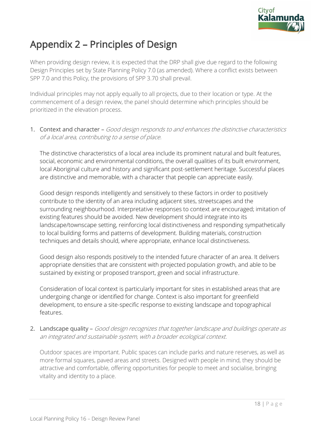

# Appendix 2 – Principles of Design

When providing design review, it is expected that the DRP shall give due regard to the following Design Principles set by State Planning Policy 7.0 (as amended). Where a conflict exists between SPP 7.0 and this Policy, the provisions of SPP 3.70 shall prevail.

Individual principles may not apply equally to all projects, due to their location or type. At the commencement of a design review, the panel should determine which principles should be prioritized in the elevation process.

1. Context and character - Good design responds to and enhances the distinctive characteristics of a local area, contributing to a sense of place.

The distinctive characteristics of a local area include its prominent natural and built features, social, economic and environmental conditions, the overall qualities of its built environment, local Aboriginal culture and history and significant post-settlement heritage. Successful places are distinctive and memorable, with a character that people can appreciate easily.

Good design responds intelligently and sensitively to these factors in order to positively contribute to the identity of an area including adjacent sites, streetscapes and the surrounding neighbourhood. Interpretative responses to context are encouraged; imitation of existing features should be avoided. New development should integrate into its landscape/townscape setting, reinforcing local distinctiveness and responding sympathetically to local building forms and patterns of development. Building materials, construction techniques and details should, where appropriate, enhance local distinctiveness.

Good design also responds positively to the intended future character of an area. It delivers appropriate densities that are consistent with projected population growth, and able to be sustained by existing or proposed transport, green and social infrastructure.

Consideration of local context is particularly important for sites in established areas that are undergoing change or identified for change. Context is also important for greenfield development, to ensure a site-specific response to existing landscape and topographical features.

2. Landscape quality - Good design recognizes that together landscape and buildings operate as an integrated and sustainable system, with a broader ecological context.

Outdoor spaces are important. Public spaces can include parks and nature reserves, as well as more formal squares, paved areas and streets. Designed with people in mind, they should be attractive and comfortable, offering opportunities for people to meet and socialise, bringing vitality and identity to a place.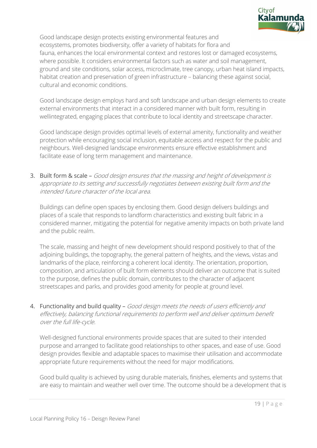

Good landscape design protects existing environmental features and ecosystems, promotes biodiversity, offer a variety of habitats for flora and fauna, enhances the local environmental context and restores lost or damaged ecosystems, where possible. It considers environmental factors such as water and soil management, ground and site conditions, solar access, microclimate, tree canopy, urban heat island impacts, habitat creation and preservation of green infrastructure – balancing these against social, cultural and economic conditions.

Good landscape design employs hard and soft landscape and urban design elements to create external environments that interact in a considered manner with built form, resulting in wellintegrated, engaging places that contribute to local identity and streetscape character.

Good landscape design provides optimal levels of external amenity, functionality and weather protection while encouraging social inclusion, equitable access and respect for the public and neighbours. Well-designed landscape environments ensure effective establishment and facilitate ease of long term management and maintenance.

3. Built form & scale - Good design ensures that the massing and height of development is appropriate to its setting and successfully negotiates between existing built form and the intended future character of the local area.

Buildings can define open spaces by enclosing them. Good design delivers buildings and places of a scale that responds to landform characteristics and existing built fabric in a considered manner, mitigating the potential for negative amenity impacts on both private land and the public realm.

The scale, massing and height of new development should respond positively to that of the adjoining buildings, the topography, the general pattern of heights, and the views, vistas and landmarks of the place, reinforcing a coherent local identity. The orientation, proportion, composition, and articulation of built form elements should deliver an outcome that is suited to the purpose, defines the public domain, contributes to the character of adjacent streetscapes and parks, and provides good amenity for people at ground level.

4. Functionality and build quality - Good design meets the needs of users efficiently and effectively, balancing functional requirements to perform well and deliver optimum benefit over the full life-cycle.

Well-designed functional environments provide spaces that are suited to their intended purpose and arranged to facilitate good relationships to other spaces, and ease of use. Good design provides flexible and adaptable spaces to maximise their utilisation and accommodate appropriate future requirements without the need for major modifications.

Good build quality is achieved by using durable materials, finishes, elements and systems that are easy to maintain and weather well over time. The outcome should be a development that is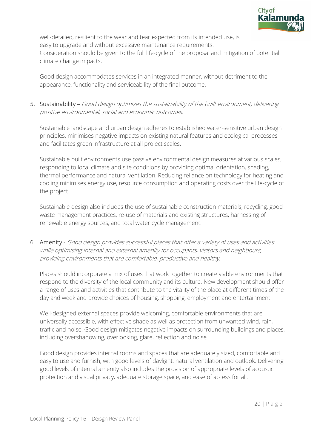

well-detailed, resilient to the wear and tear expected from its intended use, is easy to upgrade and without excessive maintenance requirements. Consideration should be given to the full life-cycle of the proposal and mitigation of potential climate change impacts.

Good design accommodates services in an integrated manner, without detriment to the appearance, functionality and serviceability of the final outcome.

# 5. Sustainability – Good design optimizes the sustainability of the built environment, delivering positive environmental, social and economic outcomes.

Sustainable landscape and urban design adheres to established water-sensitive urban design principles, minimises negative impacts on existing natural features and ecological processes and facilitates green infrastructure at all project scales.

Sustainable built environments use passive environmental design measures at various scales, responding to local climate and site conditions by providing optimal orientation, shading, thermal performance and natural ventilation. Reducing reliance on technology for heating and cooling minimises energy use, resource consumption and operating costs over the life-cycle of the project.

Sustainable design also includes the use of sustainable construction materials, recycling, good waste management practices, re-use of materials and existing structures, harnessing of renewable energy sources, and total water cycle management.

6. Amenity - Good design provides successful places that offer a variety of uses and activities while optimising internal and external amenity for occupants, visitors and neighbours, providing environments that are comfortable, productive and healthy.

Places should incorporate a mix of uses that work together to create viable environments that respond to the diversity of the local community and its culture. New development should offer a range of uses and activities that contribute to the vitality of the place at different times of the day and week and provide choices of housing, shopping, employment and entertainment.

Well-designed external spaces provide welcoming, comfortable environments that are universally accessible, with effective shade as well as protection from unwanted wind, rain, traffic and noise. Good design mitigates negative impacts on surrounding buildings and places, including overshadowing, overlooking, glare, reflection and noise.

Good design provides internal rooms and spaces that are adequately sized, comfortable and easy to use and furnish, with good levels of daylight, natural ventilation and outlook. Delivering good levels of internal amenity also includes the provision of appropriate levels of acoustic protection and visual privacy, adequate storage space, and ease of access for all.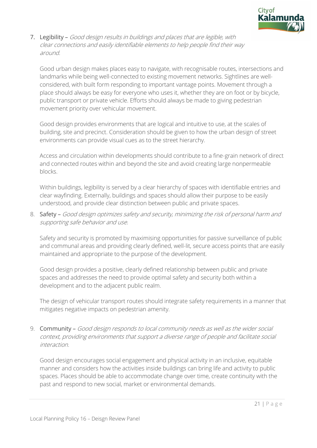

7. Legibility – Good design results in buildings and places that are legible, with clear connections and easily identifiable elements to help people find their way around.

Good urban design makes places easy to navigate, with recognisable routes, intersections and landmarks while being well-connected to existing movement networks. Sightlines are wellconsidered, with built form responding to important vantage points. Movement through a place should always be easy for everyone who uses it, whether they are on foot or by bicycle, public transport or private vehicle. Efforts should always be made to giving pedestrian movement priority over vehicular movement.

Good design provides environments that are logical and intuitive to use, at the scales of building, site and precinct. Consideration should be given to how the urban design of street environments can provide visual cues as to the street hierarchy.

Access and circulation within developments should contribute to a fine-grain network of direct and connected routes within and beyond the site and avoid creating large nonpermeable blocks.

Within buildings, legibility is served by a clear hierarchy of spaces with identifiable entries and clear wayfinding. Externally, buildings and spaces should allow their purpose to be easily understood, and provide clear distinction between public and private spaces.

8. Safety - Good design optimizes safety and security, minimizing the risk of personal harm and supporting safe behavior and use.

Safety and security is promoted by maximising opportunities for passive surveillance of public and communal areas and providing clearly defined, well-lit, secure access points that are easily maintained and appropriate to the purpose of the development.

Good design provides a positive, clearly defined relationship between public and private spaces and addresses the need to provide optimal safety and security both within a development and to the adjacent public realm.

The design of vehicular transport routes should integrate safety requirements in a manner that mitigates negative impacts on pedestrian amenity.

9. Community – Good design responds to local community needs as well as the wider social context, providing environments that support a diverse range of people and facilitate social interaction.

Good design encourages social engagement and physical activity in an inclusive, equitable manner and considers how the activities inside buildings can bring life and activity to public spaces. Places should be able to accommodate change over time, create continuity with the past and respond to new social, market or environmental demands.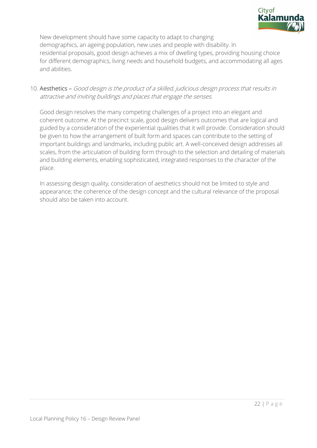

New development should have some capacity to adapt to changing demographics, an ageing population, new uses and people with disability. In residential proposals, good design achieves a mix of dwelling types, providing housing choice for different demographics, living needs and household budgets, and accommodating all ages and abilities.

### 10. Aesthetics – Good design is the product of a skilled, judicious design process that results in attractive and inviting buildings and places that engage the senses.

Good design resolves the many competing challenges of a project into an elegant and coherent outcome. At the precinct scale, good design delivers outcomes that are logical and guided by a consideration of the experiential qualities that it will provide. Consideration should be given to how the arrangement of built form and spaces can contribute to the setting of important buildings and landmarks, including public art. A well-conceived design addresses all scales, from the articulation of building form through to the selection and detailing of materials and building elements, enabling sophisticated, integrated responses to the character of the place.

In assessing design quality, consideration of aesthetics should not be limited to style and appearance; the coherence of the design concept and the cultural relevance of the proposal should also be taken into account.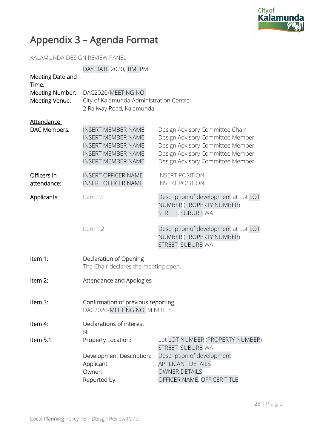

# Appendix 3 – Agenda Format

KALAMUNDA DESIGN REVIEW PANEL

|                                                                | DAY DATE 2020, TIMEPM                                                                                                                         |                                                                                                                                                                                 |  |
|----------------------------------------------------------------|-----------------------------------------------------------------------------------------------------------------------------------------------|---------------------------------------------------------------------------------------------------------------------------------------------------------------------------------|--|
| Meeting Date and<br>Time:<br>Meeting Number:<br>Meeting Venue: | DAC2020/MEETING NO.<br>City of Kalamunda Administration Centre<br>2 Railway Road, Kalamunda                                                   |                                                                                                                                                                                 |  |
| Attendance                                                     |                                                                                                                                               |                                                                                                                                                                                 |  |
| DAC Members:                                                   | <b>INSERT MEMBER NAME</b><br><b>INSERT MEMBER NAME</b><br><b>INSERT MEMBER NAME</b><br><b>INSERT MEMBER NAME</b><br><b>INSERT MEMBER NAME</b> | Design Advisory Committee Chair<br>Design Advisory Committee Member<br>Design Advisory Committee Member<br>Design Advisory Committee Member<br>Design Advisory Committee Member |  |
| Officers in<br>attendance:                                     | <b>INSERT OFFICER NAME</b><br><b>INSERT OFFICER NAME</b>                                                                                      | <b>INSERT POSITION</b><br><b>INSERT POSITION</b>                                                                                                                                |  |
| Applicants:                                                    | Item 1.1                                                                                                                                      | Description of development at Lot LOT<br>NUMBER (PROPERTY NUMBER)<br>STREET, SUBURB WA                                                                                          |  |
|                                                                | Item 1.2                                                                                                                                      | Description of development at Lot LOT<br>NUMBER (PROPERTY NUMBER)<br>STREET, SUBURB WA                                                                                          |  |
| Item 1:                                                        | Declaration of Opening<br>The Chair declares the meeting open.                                                                                |                                                                                                                                                                                 |  |
| Item 2:                                                        | <b>Attendance and Apologies</b>                                                                                                               |                                                                                                                                                                                 |  |
| Item 3:                                                        | Confirmation of previous reporting<br>DAC2020/MEETING NO. MINUTES                                                                             |                                                                                                                                                                                 |  |
| Item 4:                                                        | Declarations of interest<br>Nil                                                                                                               |                                                                                                                                                                                 |  |
| Item 5.1                                                       | Property Location:                                                                                                                            | Lot LOT NUMBER (PROPERTY NUMBER)<br>STREET, SUBURB WA                                                                                                                           |  |
|                                                                | Development Description:<br>Applicant:<br>Owner:<br>Reported by:                                                                              | Description of development<br><b>APPLICANT DETAILS</b><br><b>OWNER DETAILS</b><br>OFFICER NAME, OFFICER TITLE                                                                   |  |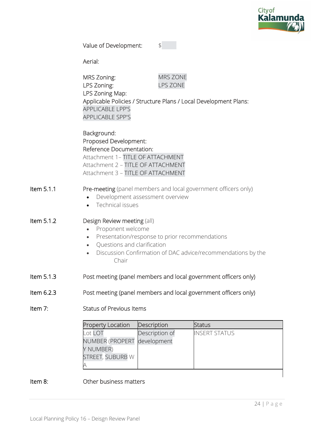

| Value of Development: |  |
|-----------------------|--|
|-----------------------|--|

Aerial:

Item 7:

|            | <b>MRS Zoning:</b><br>LPS Zoning:<br>LPS Zoning Map:<br><b>APPLICABLE LPP'S</b><br><b>APPLICABLE SPP'S</b>                                                                                                                                        | MRS ZONE<br><b>LPS ZONE</b>   | Applicable Policies / Structure Plans / Local Development Plans: |
|------------|---------------------------------------------------------------------------------------------------------------------------------------------------------------------------------------------------------------------------------------------------|-------------------------------|------------------------------------------------------------------|
|            | Background:<br>Proposed Development:<br>Reference Documentation:<br>Attachment 1- TITLE OF ATTACHMENT<br>Attachment 2 - TITLE OF ATTACHMENT<br>Attachment 3 - TITLE OF ATTACHMENT                                                                 |                               |                                                                  |
| Item 5.1.1 | Pre-meeting (panel members and local government officers only)<br>Development assessment overview<br>$\bullet$<br>Technical issues                                                                                                                |                               |                                                                  |
| Item 5.1.2 | Design Review meeting (all)<br>Proponent welcome<br>$\bullet$<br>Presentation/response to prior recommendations<br>$\bullet$<br>Questions and clarification<br>$\bullet$<br>Discussion Confirmation of DAC advice/recommendations by the<br>Chair |                               |                                                                  |
| Item 5.1.3 | Post meeting (panel members and local government officers only)                                                                                                                                                                                   |                               |                                                                  |
| ltem 6.2.3 | Post meeting (panel members and local government officers only)                                                                                                                                                                                   |                               |                                                                  |
| Item 7:    | <b>Status of Previous Items</b>                                                                                                                                                                                                                   |                               |                                                                  |
|            | <b>Property Location</b>                                                                                                                                                                                                                          | Description                   | <b>Status</b>                                                    |
|            | Lot LOT<br>NUMBER (PROPERT                                                                                                                                                                                                                        | Description of<br>development | <b>INSERT STATUS</b>                                             |

#### Item 8: Other business matters

A

Y NUMBER)

STREET, SUBURB W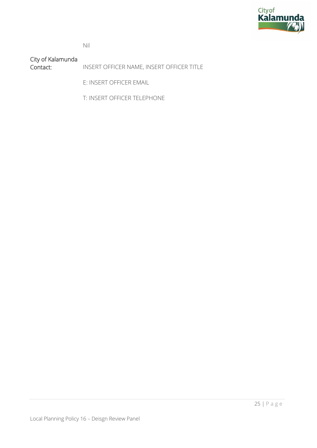

Nil

City of Kalamunda INSERT OFFICER NAME, INSERT OFFICER TITLE

E: INSERT OFFICER EMAIL

T: INSERT OFFICER TELEPHONE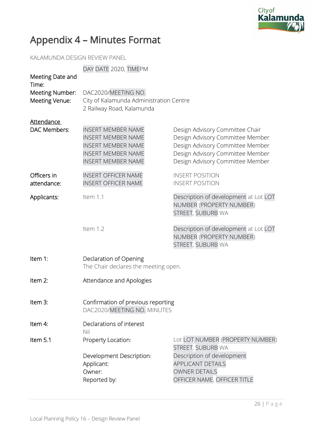

# Appendix 4 – Minutes Format

KALAMUNDA DESIGN REVIEW PANEL

| Meeting Date and<br>Time:         | DAY DATE 2020, TIMEPM                                                                                                                         |                                                                                                                                                                                 |  |
|-----------------------------------|-----------------------------------------------------------------------------------------------------------------------------------------------|---------------------------------------------------------------------------------------------------------------------------------------------------------------------------------|--|
| Meeting Number:<br>Meeting Venue: | DAC2020/MEETING NO.<br>City of Kalamunda Administration Centre<br>2 Railway Road, Kalamunda                                                   |                                                                                                                                                                                 |  |
| <b>Attendance</b><br>DAC Members: | <b>INSERT MEMBER NAME</b><br><b>INSERT MEMBER NAME</b><br><b>INSERT MEMBER NAME</b><br><b>INSERT MEMBER NAME</b><br><b>INSERT MEMBER NAME</b> | Design Advisory Committee Chair<br>Design Advisory Committee Member<br>Design Advisory Committee Member<br>Design Advisory Committee Member<br>Design Advisory Committee Member |  |
| Officers in<br>attendance:        | <b>INSERT OFFICER NAME</b><br><b>INSERT OFFICER NAME</b>                                                                                      | <b>INSERT POSITION</b><br><b>INSERT POSITION</b>                                                                                                                                |  |
| Applicants:                       | Item 1.1                                                                                                                                      | Description of development at Lot LOT<br>NUMBER (PROPERTY NUMBER)<br>STREET, SUBURB WA                                                                                          |  |
|                                   | Item 1.2                                                                                                                                      | Description of development at Lot LOT<br>NUMBER (PROPERTY NUMBER)<br>STREET, SUBURB WA                                                                                          |  |
| Item 1:                           | Declaration of Opening<br>The Chair declares the meeting open.                                                                                |                                                                                                                                                                                 |  |
| Item 2:                           | Attendance and Apologies                                                                                                                      |                                                                                                                                                                                 |  |
| Item 3:                           | Confirmation of previous reporting<br>DAC2020/MEETING NO. MINUTES                                                                             |                                                                                                                                                                                 |  |
| Item 4:                           | Declarations of interest<br>Nil                                                                                                               |                                                                                                                                                                                 |  |
| Item 5.1                          | Property Location:<br>Development Description:<br>Applicant:<br>Owner:<br>Reported by:                                                        | Lot LOT NUMBER (PROPERTY NUMBER)<br>STREET, SUBURB WA<br>Description of development<br><b>APPLICANT DETAILS</b><br><b>OWNER DETAILS</b><br>OFFICER NAME, OFFICER TITLE          |  |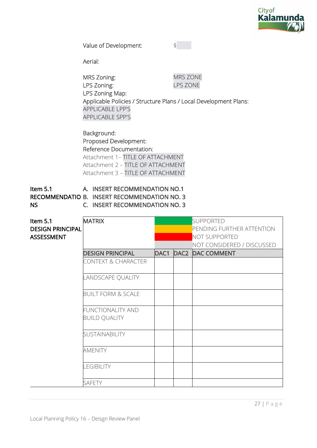

Value of Development:  $\frac{1}{2}$ 

Aerial:

 MRS Zoning: MRS ZONE LPS Zoning: LPS ZONE LPS Zoning Map: Applicable Policies / Structure Plans / Local Development Plans: APPLICABLE LPP'S APPLICABLE SPP'S

 Background: Proposed Development: Reference Documentation: Attachment 1– TITLE OF ATTACHMENT Attachment 2 – TITLE OF ATTACHMENT

Attachment 3 – TITLE OF ATTACHMENT

Item 5.1 RECOMMENDATIO B. INSERT RECOMMENDATION NO. 3 NS A. INSERT RECOMMENDATION NO.1 C. INSERT RECOMMENDATION NO. 3

| Item 5.1                | <b>MATRIX</b>                  |      | <b>SUPPORTED</b>           |
|-------------------------|--------------------------------|------|----------------------------|
| <b>DESIGN PRINCIPAL</b> |                                |      | PENDING FURTHER ATTENTION  |
| <b>ASSESSMENT</b>       |                                |      | NOT SUPPORTED              |
|                         |                                |      |                            |
|                         |                                |      | NOT CONSIDERED / DISCUSSED |
|                         | <b>DESIGN PRINCIPAL</b>        | DAC1 | <b>DAC2 DAC COMMENT</b>    |
|                         | <b>CONTEXT &amp; CHARACTER</b> |      |                            |
|                         |                                |      |                            |
|                         | LANDSCAPE QUALITY              |      |                            |
|                         |                                |      |                            |
|                         | <b>BUILT FORM &amp; SCALE</b>  |      |                            |
|                         |                                |      |                            |
|                         | <b>FUNCTIONALITY AND</b>       |      |                            |
|                         | <b>BUILD QUALITY</b>           |      |                            |
|                         |                                |      |                            |
|                         | <b>SUSTAINABILITY</b>          |      |                            |
|                         |                                |      |                            |
|                         | <b>AMENITY</b>                 |      |                            |
|                         |                                |      |                            |
|                         | <b>LEGIBILITY</b>              |      |                            |
|                         |                                |      |                            |
|                         | <b>SAFETY</b>                  |      |                            |